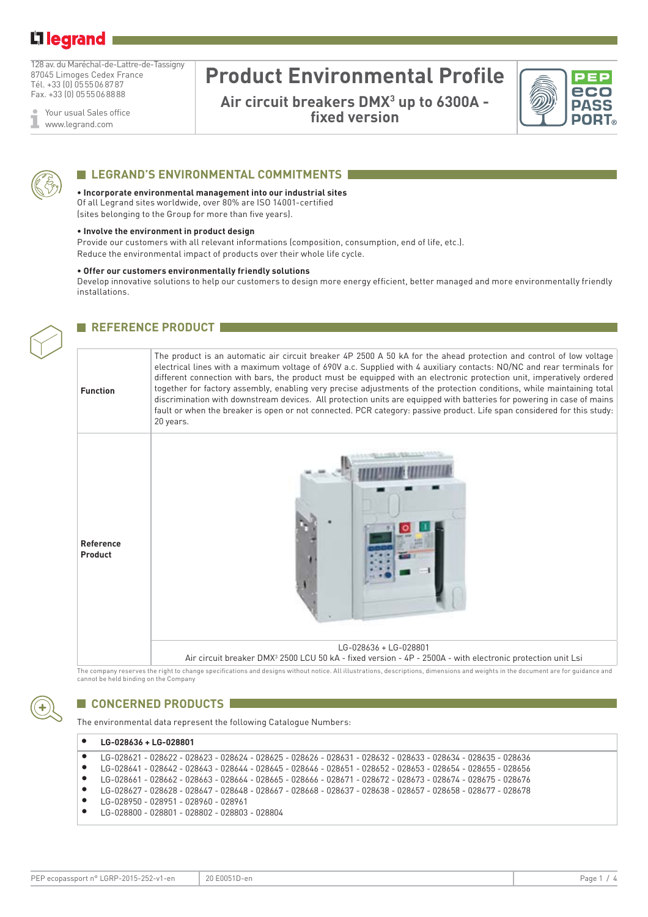# Li legrand

128 av. du Maréchal-de-Lattre-de-Tassigny 87045 Limoges Cedex France Tél. +33 (0) 05 55 06 87 87 Fax. +33 (0) 05 55 06 88 88

Your usual Sales office ī www.legrand.com

# **Product Environmental Profile**

Air circuit breakers DMX<sup>3</sup> up to 6300A **fi xed version** 





#### **ELEGRAND'S ENVIRONMENTAL COMMITMENTS**

#### **• Incorporate environmental management into our industrial sites**

Of all Legrand sites worldwide, over 80% are ISO 14001-certified (sites belonging to the Group for more than five years).

# **• Involve the environment in product design**

**REFERENCE PRODUCT** 

Provide our customers with all relevant informations (composition, consumption, end of life, etc.). Reduce the environmental impact of products over their whole life cycle.

#### **• Offer our customers environmentally friendly solutions**

Develop innovative solutions to help our customers to design more energy efficient, better managed and more environmentally friendly installations.

| <b>Function</b>      | The product is an automatic air circuit breaker 4P 2500 A 50 kA for the ahead protection and control of low voltage<br>electrical lines with a maximum voltage of 690V a.c. Supplied with 4 auxiliary contacts: NO/NC and rear terminals for<br>different connection with bars, the product must be equipped with an electronic protection unit, imperatively ordered<br>together for factory assembly, enabling very precise adjustments of the protection conditions, while maintaining total<br>discrimination with downstream devices. All protection units are equipped with batteries for powering in case of mains<br>fault or when the breaker is open or not connected. PCR category: passive product. Life span considered for this study:<br>20 years. |
|----------------------|-------------------------------------------------------------------------------------------------------------------------------------------------------------------------------------------------------------------------------------------------------------------------------------------------------------------------------------------------------------------------------------------------------------------------------------------------------------------------------------------------------------------------------------------------------------------------------------------------------------------------------------------------------------------------------------------------------------------------------------------------------------------|
| Reference<br>Product |                                                                                                                                                                                                                                                                                                                                                                                                                                                                                                                                                                                                                                                                                                                                                                   |
|                      | LG-028636 + LG-028801<br>Air circuit breaker DMX <sup>3</sup> 2500 LCU 50 kA - fixed version - 4P - 2500A - with electronic protection unit Lsi                                                                                                                                                                                                                                                                                                                                                                                                                                                                                                                                                                                                                   |

.<br>serves the right to change specifications and designs without notice. All illustrations, descriptions, dimensions and weights in the document cannot be held binding on the Company

### **CONCERNED PRODUCTS**

The environmental data represent the following Catalogue Numbers:

#### **• LG-028636 + LG-028801**

```
• LG-028621 - 028622 - 028623 - 028624 - 028625 - 028626 - 028631 - 028632 - 028633 - 028634 - 028635 - 028636
• LG-028641 - 028642 - 028643 - 028644 - 028645 - 028646 - 028651 - 028652 - 028653 - 028654 - 028655 - 028656 
• LG-028661 - 028662 - 028663 - 028664 - 028665 - 028666 - 028671 - 028672 - 028673 - 028674 - 028675 - 028676
```

```
• LG-028627 - 028628 - 028647 - 028648 - 028667 - 028668 - 028637 - 028638 - 028657 - 028658 - 028677 - 028678
```
- LG-028950 028951 028960 028961
- LG-028800 028801 028802 028803 028804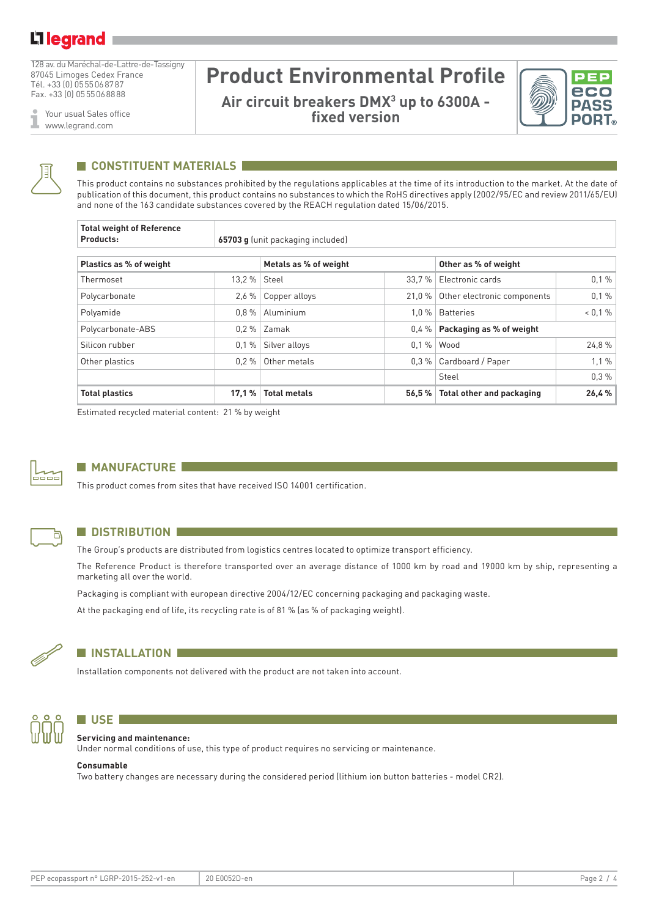128 av. du Maréchal-de-Lattre-de-Tassigny 87045 Limoges Cedex France Tél. +33 (0) 05 55 06 87 87 Fax. +33 (0) 05 55 06 88 88

Your usual Sales office ī www.legrand.com

# **Product Environmental Profile**

Air circuit breakers DMX<sup>3</sup> up to 6300A **fi xed version**





## **CONSTITUENT MATERIALS**

This product contains no substances prohibited by the regulations applicables at the time of its introduction to the market. At the date of publication of this document, this product contains no substances to which the RoHS directives apply (2002/95/EC and review 2011/65/EU) and none of the 163 candidate substances covered by the REACH regulation dated 15/06/2015.

| <b>Total weight of Reference</b><br>Products: | 65703 g (unit packaging included) |                         |          |                                     |       |  |  |  |
|-----------------------------------------------|-----------------------------------|-------------------------|----------|-------------------------------------|-------|--|--|--|
| Plastics as % of weight                       |                                   | Metals as % of weight   |          | Other as % of weight                |       |  |  |  |
| Thermoset                                     | 13.2%                             | Steel                   | 33.7%    | Electronic cards                    | 0,1%  |  |  |  |
| Polycarbonate                                 | 2,6%                              | Copper alloys           | 21,0 %   | 0,1%<br>Other electronic components |       |  |  |  |
| Polyamide                                     | 0.8%                              | Aluminium               | $1.0 \%$ | 0,1%<br><b>Batteries</b>            |       |  |  |  |
| Polycarbonate-ABS                             |                                   | $0.2\%$ Zamak           | $0.4 \%$ | Packaging as % of weight            |       |  |  |  |
| Silicon rubber                                | 0.1%                              | Silver alloys           | 0.1%     | 24,8%<br>Wood                       |       |  |  |  |
| $0.2 \%$<br>Other plastics                    |                                   | Other metals<br>$0.3\%$ |          | Cardboard / Paper                   | 1,1%  |  |  |  |
|                                               |                                   |                         |          | Steel                               | 0.3%  |  |  |  |
| <b>Total plastics</b>                         | 17.1%                             | <b>Total metals</b>     | 56,5%    | Total other and packaging           | 26,4% |  |  |  |

Estimated recycled material content: 21 % by weight



### **MANUFACTURE**

This product comes from sites that have received ISO 14001 certification.



#### **N** DISTRIBUTION

The Group's products are distributed from logistics centres located to optimize transport efficiency.

The Reference Product is therefore transported over an average distance of 1000 km by road and 19000 km by ship, representing a marketing all over the world.

Packaging is compliant with european directive 2004/12/EC concerning packaging and packaging waste.

At the packaging end of life, its recycling rate is of 81 % (as % of packaging weight).



#### **N** INSTALLATION

Installation components not delivered with the product are not taken into account.



#### **Servicing and maintenance:**

Under normal conditions of use, this type of product requires no servicing or maintenance.

#### **Consumable**

**N** USE **I** 

Two battery changes are necessary during the considered period (lithium ion button batteries - model CR2).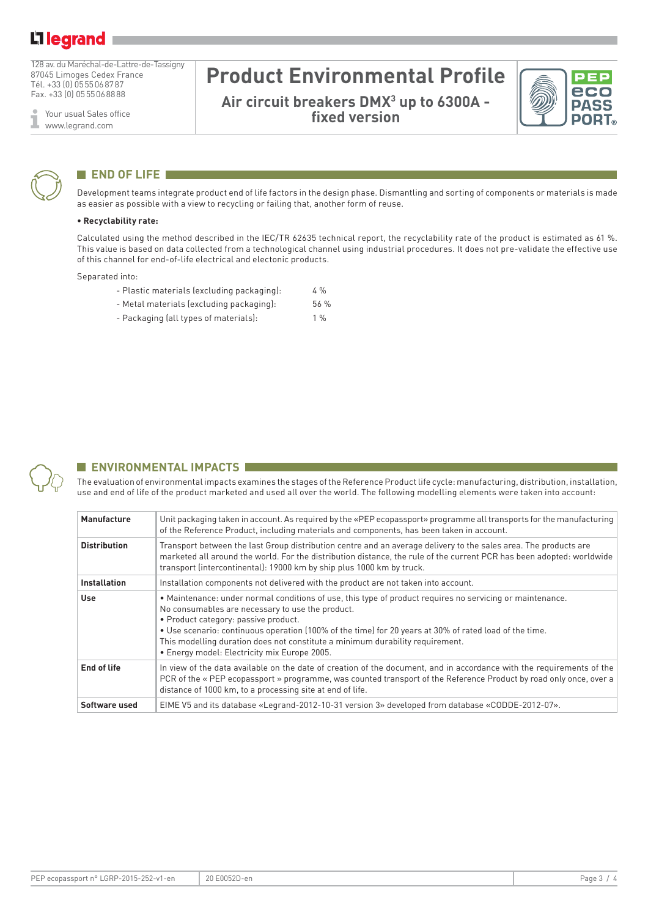128 av. du Maréchal-de-Lattre-de-Tassigny 87045 Limoges Cedex France Tél. +33 (0) 05 55 06 87 87 Fax. +33 (0) 05 55 06 88 88

Your usual Sales office I www.legrand.com

# **Product Environmental Profile**

Air circuit breakers DMX<sup>3</sup> up to 6300A **fi xed version**





## **END OF LIFE**

Development teams integrate product end of life factors in the design phase. Dismantling and sorting of components or materials is made as easier as possible with a view to recycling or failing that, another form of reuse.

#### **• Recyclability rate:**

Calculated using the method described in the IEC/TR 62635 technical report, the recyclability rate of the product is estimated as 61 %. This value is based on data collected from a technological channel using industrial procedures. It does not pre-validate the effective use of this channel for end-of-life electrical and electonic products.

Separated into:

- Plastic materials (excluding packaging): 4 %
- Metal materials (excluding packaging): 56 %
- Packaging (all types of materials): 1 %



# **ENVIRONMENTAL IMPACTS**

The evaluation of environmental impacts examines the stages of the Reference Product life cycle: manufacturing, distribution, installation, use and end of life of the product marketed and used all over the world. The following modelling elements were taken into account:

| <b>Manufacture</b>  | Unit packaging taken in account. As required by the «PEP ecopassport» programme all transports for the manufacturing<br>of the Reference Product, including materials and components, has been taken in account.                                                                                                                                                                                                                                 |
|---------------------|--------------------------------------------------------------------------------------------------------------------------------------------------------------------------------------------------------------------------------------------------------------------------------------------------------------------------------------------------------------------------------------------------------------------------------------------------|
| <b>Distribution</b> | Transport between the last Group distribution centre and an average delivery to the sales area. The products are<br>marketed all around the world. For the distribution distance, the rule of the current PCR has been adopted: worldwide<br>transport (intercontinental): 19000 km by ship plus 1000 km by truck.                                                                                                                               |
| <b>Installation</b> | Installation components not delivered with the product are not taken into account.                                                                                                                                                                                                                                                                                                                                                               |
| <b>Use</b>          | . Maintenance: under normal conditions of use, this type of product requires no servicing or maintenance.<br>No consumables are necessary to use the product.<br>• Product category: passive product.<br>. Use scenario: continuous operation (100% of the time) for 20 years at 30% of rated load of the time.<br>This modelling duration does not constitute a minimum durability requirement.<br>• Energy model: Electricity mix Europe 2005. |
| <b>End of life</b>  | In view of the data available on the date of creation of the document, and in accordance with the requirements of the<br>PCR of the « PEP ecopassport » programme, was counted transport of the Reference Product by road only once, over a<br>distance of 1000 km, to a processing site at end of life.                                                                                                                                         |
| Software used       | EIME V5 and its database «Legrand-2012-10-31 version 3» developed from database «CODDE-2012-07».                                                                                                                                                                                                                                                                                                                                                 |